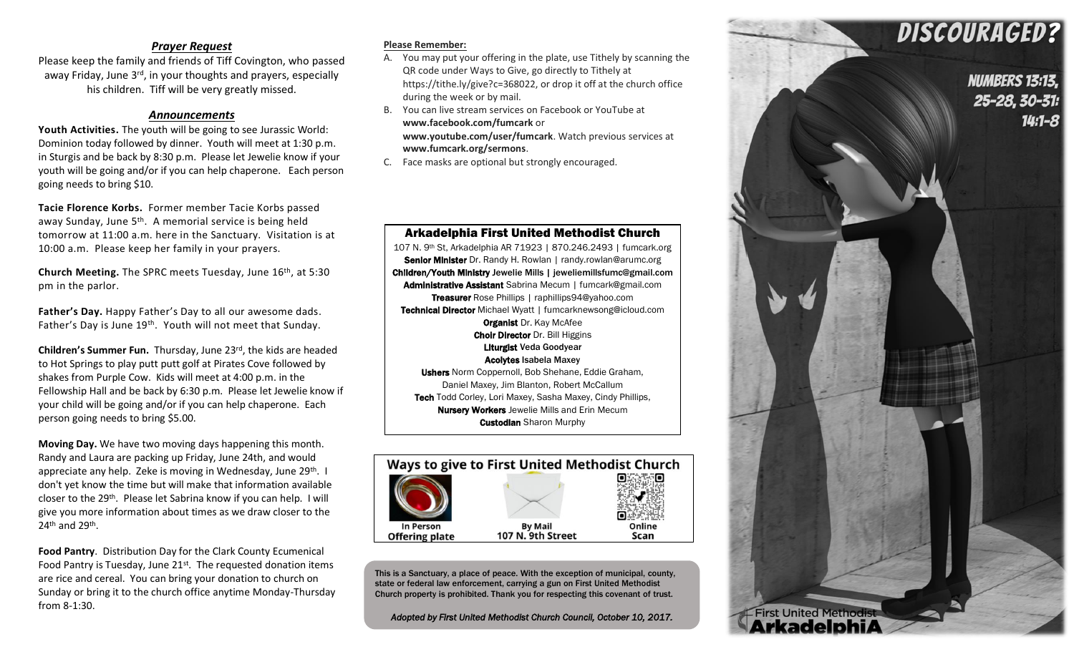## *Prayer Request*

Please keep the family and friends of Tiff Covington, who passed away Friday, June  $3^{rd}$ , in your thoughts and prayers, especially his children. Tiff will be very greatly missed.

## *Announcements*

**Youth Activities.** The youth will be going to see Jurassic World: Dominion today followed by dinner. Youth will meet at 1:30 p.m. in Sturgis and be back by 8:30 p.m. Please let Jewelie know if your youth will be going and/or if you can help chaperone. Each person going needs to bring \$10.

**Tacie Florence Korbs.** Former member Tacie Korbs passed away Sunday, June 5th. A memorial service is being held tomorrow at 11:00 a.m. here in the Sanctuary. Visitation is at 10:00 a.m. Please keep her family in your prayers.

**Church Meeting.** The SPRC meets Tuesday, June 16th, at 5:30 pm in the parlor.

**Father's Day.** Happy Father's Day to all our awesome dads. Father's Day is June 19<sup>th</sup>. Youth will not meet that Sunday.

**Children's Summer Fun.** Thursday, June 23rd, the kids are headed to Hot Springs to play putt putt golf at Pirates Cove followed by shakes from Purple Cow. Kids will meet at 4:00 p.m. in the Fellowship Hall and be back by 6:30 p.m. Please let Jewelie know if your child will be going and/or if you can help chaperone. Each person going needs to bring \$5.00.

**Moving Day.** We have two moving days happening this month. Randy and Laura are packing up Friday, June 24th, and would appreciate any help. Zeke is moving in Wednesday, June 29<sup>th</sup>. I don't yet know the time but will make that information available closer to the 29<sup>th</sup>. Please let Sabrina know if you can help. I will give you more information about times as we draw closer to the 24<sup>th</sup> and 29<sup>th</sup>.

**Food Pantry**. Distribution Day for the Clark County Ecumenical Food Pantry is Tuesday, June 21<sup>st</sup>. The requested donation items are rice and cereal. You can bring your donation to church on Sunday or bring it to the church office anytime Monday-Thursday from 8-1:30.

## **Please Remember:**

- A. You may put your offering in the plate, use Tithely by scanning the QR code under Ways to Give, go directly to Tithely at https://tithe.ly/give?c=368022, or drop it off at the church office during the week or by mail.
- B. You can live stream services on Facebook or YouTube at **www.facebook.com/fumcark** or **www.youtube.com/user/fumcark**. Watch previous services at **www.fumcark.org/sermons**.

Arkadelphia First United Methodist Church 107 N. 9th St, Arkadelphia AR 71923 | 870.246.2493 | fumcark.org Senior Minister Dr. Randy H. Rowlan | randy.rowlan@arumc.org Children/Youth Ministry Jewelie Mills | jeweliemillsfumc@gmail.com Administrative Assistant Sabrina Mecum | fumcark@gmail.com Treasurer Rose Phillips | raphillips94@yahoo.com Technical Director Michael Wyatt | fumcarknewsong@icloud.com **Organist Dr. Kay McAfee** Choir Director Dr. Bill Higgins Liturgist Veda Goodyear Acolytes Isabela Maxey Ushers Norm Coppernoll, Bob Shehane, Eddie Graham, Daniel Maxey, Jim Blanton, Robert McCallum Tech Todd Corley, Lori Maxey, Sasha Maxey, Cindy Phillips, **Nursery Workers** Jewelie Mills and Erin Mecum **Custodian** Sharon Murphy

C. Face masks are optional but strongly encouraged.



This is a Sanctuary, a place of peace. With the exception of municipal, county, state or federal law enforcement, carrying a gun on First United Methodist Church property is prohibited. Thank you for respecting this covenant of trust.

*Adopted by First United Methodist Church Council, October 10, 2017.*